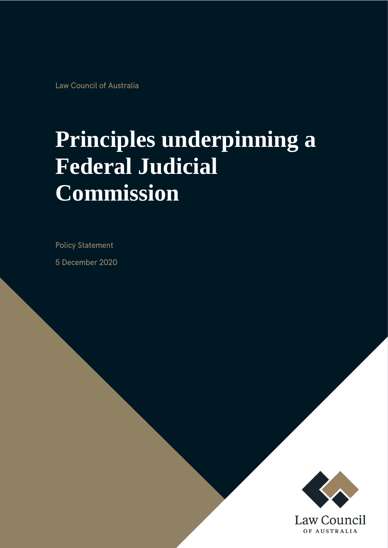Law Council of Australia

# **Principles underpinning a Federal Judicial Commission**

**Policy Statement** 

5 December 2020

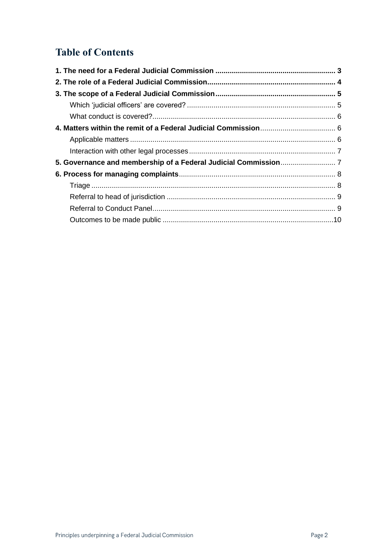## **Table of Contents**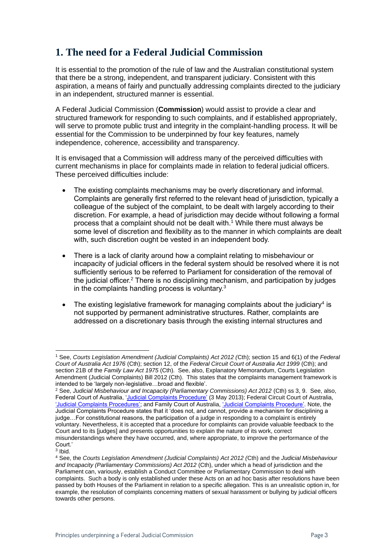## <span id="page-2-0"></span>**1. The need for a Federal Judicial Commission**

It is essential to the promotion of the rule of law and the Australian constitutional system that there be a strong, independent, and transparent judiciary. Consistent with this aspiration, a means of fairly and punctually addressing complaints directed to the judiciary in an independent, structured manner is essential.

A Federal Judicial Commission (**Commission**) would assist to provide a clear and structured framework for responding to such complaints, and if established appropriately, will serve to promote public trust and integrity in the complaint-handling process. It will be essential for the Commission to be underpinned by four key features, namely independence, coherence, accessibility and transparency.

It is envisaged that a Commission will address many of the perceived difficulties with current mechanisms in place for complaints made in relation to federal judicial officers. These perceived difficulties include:

- The existing complaints mechanisms may be overly discretionary and informal. Complaints are generally first referred to the relevant head of jurisdiction, typically a colleague of the subject of the complaint, to be dealt with largely according to their discretion. For example, a head of jurisdiction may decide without following a formal process that a complaint should not be dealt with.<sup>1</sup> While there must always be some level of discretion and flexibility as to the manner in which complaints are dealt with, such discretion ought be vested in an independent body.
- There is a lack of clarity around how a complaint relating to misbehaviour or incapacity of judicial officers in the federal system should be resolved where it is not sufficiently serious to be referred to Parliament for consideration of the removal of the judicial officer.<sup>2</sup> There is no disciplining mechanism, and participation by judges in the complaints handling process is voluntary.<sup>3</sup>
- The existing legislative framework for managing complaints about the judiciary<sup>4</sup> is not supported by permanent administrative structures. Rather, complaints are addressed on a discretionary basis through the existing internal structures and

<sup>1</sup> See, *Courts Legislation Amendment (Judicial Complaints) Act 2012 (*Cth); section 15 and 6(1) of the *Federal Court of Australia Act 1976* (Cth); section 12, of the *Federal Circuit Court of Australia Act 1999* (Cth); and section 21B of the *Family Law Act 1975* (Cth). See, also, Explanatory Memorandum, Courts Legislation Amendment (Judicial Complaints) Bill 2012 (Cth). This states that the complaints management framework is intended to be 'largely non-legislative…broad and flexible'.

<sup>2</sup> See, *Judicial Misbehaviour and Incapacity (Parliamentary Commissions) Act 2012* (Cth) ss 3, 9. See, also, Federal Court of Australia, ['Judicial Complaints Procedure'](https://www.fedcourt.gov.au/feedback-and-complaints/judicial-complaints) (3 May 2013); Federal Circuit Court of Australia, ['Judicial Complaints Procedures';](http://www.federalcircuitcourt.gov.au/wps/wcm/connect/fccweb/about/policies-and-procedures/judicial-complaints) and Family Court of Australia, ['Judicial Complaints Procedure'.](http://www.familycourt.gov.au/wps/wcm/connect/fcoaweb/contact-us/feedback/fcoa_judicial_complaints_proc) Note, the Judicial Complaints Procedure states that it 'does not, and cannot, provide a mechanism for disciplining a judge…For constitutional reasons, the participation of a judge in responding to a complaint is entirely voluntary. Nevertheless, it is accepted that a procedure for complaints can provide valuable feedback to the Court and to its [judges] and presents opportunities to explain the nature of its work, correct misunderstandings where they have occurred, and, where appropriate, to improve the performance of the Court.'

<sup>3</sup> Ibid.

<sup>4</sup> See, the *Courts Legislation Amendment (Judicial Complaints) Act 2012 (*Cth) and the *Judicial Misbehaviour and Incapacity (Parliamentary Commissions) Act 2012* (Cth), under which a head of jurisdiction and the Parliament can, variously, establish a Conduct Committee or Parliamentary Commission to deal with complaints. Such a body is only established under these Acts on an ad hoc basis after resolutions have been passed by both Houses of the Parliament in relation to a specific allegation. This is an unrealistic option in, for example, the resolution of complaints concerning matters of sexual harassment or bullying by judicial officers towards other persons.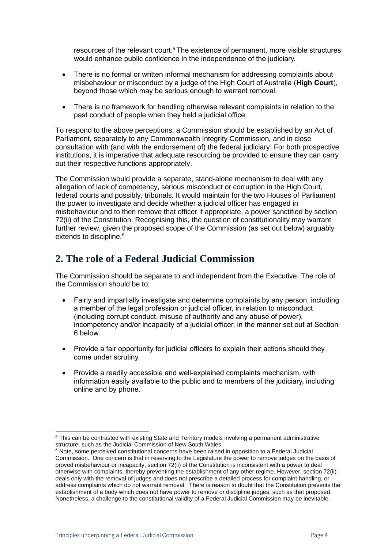resources of the relevant court.<sup>5</sup> The existence of permanent, more visible structures would enhance public confidence in the independence of the judiciary.

- There is no formal or written informal mechanism for addressing complaints about misbehaviour or misconduct by a judge of the High Court of Australia (**High Court**), beyond those which may be serious enough to warrant removal.
- There is no framework for handling otherwise relevant complaints in relation to the past conduct of people when they held a judicial office.

To respond to the above perceptions, a Commission should be established by an Act of Parliament, separately to any Commonwealth Integrity Commission, and in close consultation with (and with the endorsement of) the federal judiciary. For both prospective institutions, it is imperative that adequate resourcing be provided to ensure they can carry out their respective functions appropriately.

The Commission would provide a separate, stand-alone mechanism to deal with any allegation of lack of competency, serious misconduct or corruption in the High Court, federal courts and possibly, tribunals. It would maintain for the two Houses of Parliament the power to investigate and decide whether a judicial officer has engaged in misbehaviour and to then remove that officer if appropriate, a power sanctified by section 72(ii) of the Constitution. Recognising this, the question of constitutionality may warrant further review, given the proposed scope of the Commission (as set out below) arguably extends to discipline.<sup>6</sup>

## <span id="page-3-0"></span>**2. The role of a Federal Judicial Commission**

The Commission should be separate to and independent from the Executive. The role of the Commission should be to:

- Fairly and impartially investigate and determine complaints by any person, including a member of the legal profession or judicial officer, in relation to misconduct (including corrupt conduct, misuse of authority and any abuse of power), incompetency and/or incapacity of a judicial officer, in the manner set out at Section 6 below.
- Provide a fair opportunity for judicial officers to explain their actions should they come under scrutiny.
- Provide a readily accessible and well-explained complaints mechanism, with information easily available to the public and to members of the judiciary, including online and by phone.

<sup>5</sup> This can be contrasted with existing State and Territory models involving a permanent administrative structure, such as the Judicial Commission of New South Wales.

 $6$  Note, some perceived constitutional concerns have been raised in opposition to a Federal Judicial Commission. One concern is that in reserving to the Legislature the power to remove judges on the basis of proved misbehaviour or incapacity, section 72(ii) of the Constitution is inconsistent with a power to deal otherwise with complaints, thereby preventing the establishment of any other regime. However, section 72(ii) deals only with the removal of judges and does not prescribe a detailed process for complaint handling, or address complaints which do not warrant removal. There is reason to doubt that the Constitution prevents the establishment of a body which does not have power to remove or discipline judges, such as that proposed. Nonetheless, a challenge to the constitutional validity of a Federal Judicial Commission may be inevitable.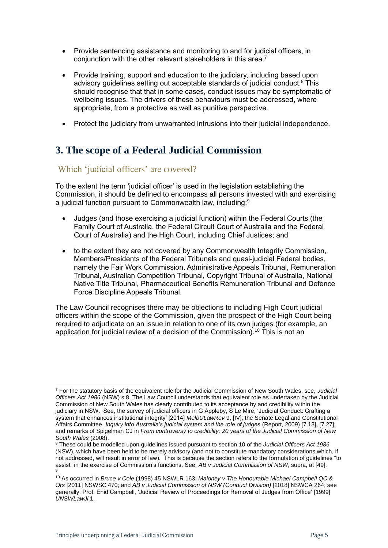- Provide sentencing assistance and monitoring to and for judicial officers, in conjunction with the other relevant stakeholders in this area.<sup>7</sup>
- Provide training, support and education to the judiciary, including based upon advisory guidelines setting out acceptable standards of judicial conduct.<sup>8</sup> This should recognise that that in some cases, conduct issues may be symptomatic of wellbeing issues. The drivers of these behaviours must be addressed, where appropriate, from a protective as well as punitive perspective.
- Protect the judiciary from unwarranted intrusions into their judicial independence.

## <span id="page-4-0"></span>**3. The scope of a Federal Judicial Commission**

#### <span id="page-4-1"></span>Which 'judicial officers' are covered?

To the extent the term 'judicial officer' is used in the legislation establishing the Commission, it should be defined to encompass all persons invested with and exercising a judicial function pursuant to Commonwealth law, including:<sup>9</sup>

- Judges (and those exercising a judicial function) within the Federal Courts (the Family Court of Australia, the Federal Circuit Court of Australia and the Federal Court of Australia) and the High Court, including Chief Justices; and
- to the extent they are not covered by any Commonwealth Integrity Commission, Members/Presidents of the Federal Tribunals and quasi-judicial Federal bodies, namely the Fair Work Commission, Administrative Appeals Tribunal, Remuneration Tribunal, Australian Competition Tribunal, Copyright Tribunal of Australia, National Native Title Tribunal, Pharmaceutical Benefits Remuneration Tribunal and Defence Force Discipline Appeals Tribunal.

The Law Council recognises there may be objections to including High Court judicial officers within the scope of the Commission, given the prospect of the High Court being required to adjudicate on an issue in relation to one of its own judges (for example, an application for judicial review of a decision of the Commission).<sup>10</sup> This is not an

<sup>7</sup> For the statutory basis of the equivalent role for the Judicial Commission of New South Wales, see, *Judicial Officers Act 1986* (NSW) s 8. The Law Council understands that equivalent role as undertaken by the Judicial Commission of New South Wales has clearly contributed to its acceptance by and credibility within the judiciary in NSW. See, the survey of judicial officers in G Appleby, S Le Mire, 'Judicial Conduct: Crafting a system that enhances institutional integrity' [2014] *MelbULawRev* 9, [IV]; the Senate Legal and Constitutional Affairs Committee, *Inquiry into Australia's judicial system and the role of judges* (Report, 2009) [7.13], [7.27]; and remarks of Spigelman CJ in *From controversy to credibility: 20 years of the Judicial Commission of New South Wales* (2008).

<sup>8</sup> These could be modelled upon guidelines issued pursuant to section 10 of the *Judicial Officers Act 1986* (NSW), which have been held to be merely advisory (and not to constitute mandatory considerations which, if not addressed, will result in error of law). This is because the section refers to the formulation of guidelines "to assist" in the exercise of Commission's functions. See, *AB v Judicial Commission of NSW*, supra, at [49]. 9

<sup>10</sup> As occurred in *Bruce v Cole* (1998) 45 NSWLR 163; *Maloney v The Honourable Michael Campbell QC & Ors* [2011] NSWSC 470; and *AB v Judicial Commission of NSW (Conduct Division)* [2018] NSWCA 264; see generally, Prof. Enid Campbell, 'Judicial Review of Proceedings for Removal of Judges from Office' [1999] *UNSWLawJl* 1.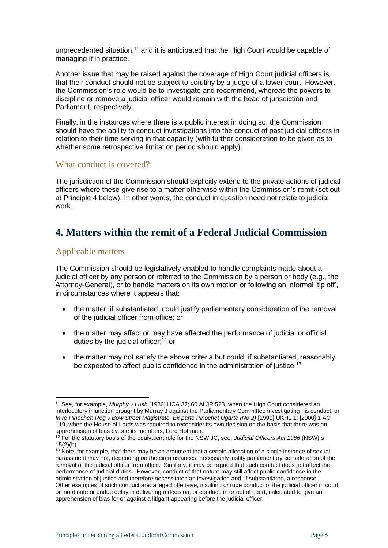unprecedented situation, $11$  and it is anticipated that the High Court would be capable of managing it in practice.

Another issue that may be raised against the coverage of High Court judicial officers is that their conduct should not be subject to scrutiny by a judge of a lower court. However, the Commission's role would be to investigate and recommend, whereas the powers to discipline or remove a judicial officer would remain with the head of jurisdiction and Parliament, respectively.

Finally, in the instances where there is a public interest in doing so, the Commission should have the ability to conduct investigations into the conduct of past judicial officers in relation to their time serving in that capacity (with further consideration to be given as to whether some retrospective limitation period should apply).

#### <span id="page-5-0"></span>What conduct is covered?

The jurisdiction of the Commission should explicitly extend to the private actions of judicial officers where these give rise to a matter otherwise within the Commission's remit (set out at Principle 4 below). In other words, the conduct in question need not relate to judicial work.

### <span id="page-5-1"></span>**4. Matters within the remit of a Federal Judicial Commission**

#### <span id="page-5-2"></span>Applicable matters

The Commission should be legislatively enabled to handle complaints made about a judicial officer by any person or referred to the Commission by a person or body (e.g., the Attorney-General), or to handle matters on its own motion or following an informal 'tip off', in circumstances where it appears that:

- the matter, if substantiated, could justify parliamentary consideration of the removal of the [judicial officer](http://www8.austlii.edu.au/cgi-bin/viewdoc/au/legis/nsw/consol_act/joa1986155/s3.html#judicial_officer) from office; or
- the matter may affect or may have affected the performance of judicial or official duties by the judicial officer; $12$  or
- the matter may not satisfy the above criteria but could, if substantiated, reasonably be expected to affect public confidence in the administration of justice.<sup>13</sup>

<sup>11</sup> See, for example, *Murphy v Lush* [1986] HCA 37; 60 ALJR 523, when the High Court considered an interlocutory injunction brought by Murray J against the Parliamentary Committee investigating his conduct; or *In re Pinochet*; *Reg v Bow Street Magistrate, Ex parte Pinochet Ugarte (No 2)* [1999] UKHL 1; [2000] 1 AC 119, when the House of Lords was required to reconsider its own decision on the basis that there was an apprehension of bias by one its members, Lord Hoffman.

<sup>12</sup> For the statutory basis of the equivalent role for the NSW JC, see, *Judicial Officers Act 1986* (NSW) s 15(2)(b).

<sup>&</sup>lt;sup>13</sup> Note, for example, that there may be an argument that a certain allegation of a single instance of sexual harassment may not, depending on the circumstances, necessarily justify parliamentary consideration of the removal of th[e judicial officer](http://www8.austlii.edu.au/cgi-bin/viewdoc/au/legis/nsw/consol_act/joa1986155/s3.html#judicial_officer) from office. Similarly, it may be argued that such conduct does not affect the performance of judicial duties. However, conduct of that nature may still affect public confidence in the administration of justice and therefore necessitates an investigation and, if substantiated, a response. Other examples of such conduct are: alleged offensive, insulting or rude conduct of the judicial officer in court, or inordinate or undue delay in delivering a decision, or conduct, in or out of court, calculated to give an apprehension of bias for or against a litigant appearing before the judicial officer.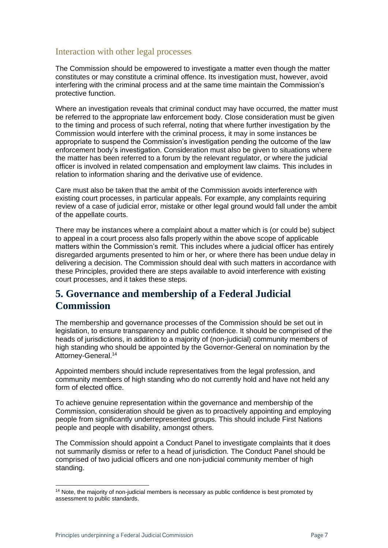#### <span id="page-6-0"></span>Interaction with other legal processes

The Commission should be empowered to investigate a matter even though the matter constitutes or may constitute a criminal offence. Its investigation must, however, avoid interfering with the criminal process and at the same time maintain the Commission's protective function.

Where an investigation reveals that criminal conduct may have occurred, the matter must be referred to the appropriate law enforcement body. Close consideration must be given to the timing and process of such referral, noting that where further investigation by the Commission would interfere with the criminal process, it may in some instances be appropriate to suspend the Commission's investigation pending the outcome of the law enforcement body's investigation. Consideration must also be given to situations where the matter has been referred to a forum by the relevant regulator, or where the judicial officer is involved in related compensation and employment law claims. This includes in relation to information sharing and the derivative use of evidence.

Care must also be taken that the ambit of the Commission avoids interference with existing court processes, in particular appeals. For example, any complaints requiring review of a case of judicial error, mistake or other legal ground would fall under the ambit of the appellate courts.

There may be instances where a complaint about a matter which is (or could be) subject to appeal in a court process also falls properly within the above scope of applicable matters within the Commission's remit. This includes where a judicial officer has entirely disregarded arguments presented to him or her, or where there has been undue delay in delivering a decision. The Commission should deal with such matters in accordance with these Principles, provided there are steps available to avoid interference with existing court processes, and it takes these steps.

## <span id="page-6-1"></span>**5. Governance and membership of a Federal Judicial Commission**

The membership and governance processes of the Commission should be set out in legislation, to ensure transparency and public confidence. It should be comprised of the heads of jurisdictions, in addition to a majority of (non-judicial) community members of high standing who should be appointed by the Governor-General on nomination by the Attorney-General.<sup>14</sup>

Appointed members should include representatives from the legal profession, and community members of high standing who do not currently hold and have not held any form of elected office.

To achieve genuine representation within the governance and membership of the Commission, consideration should be given as to proactively appointing and employing people from significantly underrepresented groups. This should include First Nations people and people with disability, amongst others.

The Commission should appoint a Conduct Panel to investigate complaints that it does not summarily dismiss or refer to a head of jurisdiction. The Conduct Panel should be comprised of two judicial officers and one non-judicial community member of high standing.

 $14$  Note, the majority of non-judicial members is necessary as public confidence is best promoted by assessment to public standards.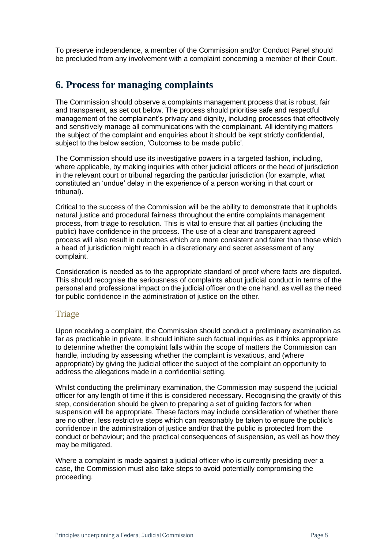To preserve independence, a member of the Commission and/or Conduct Panel should be precluded from any involvement with a complaint concerning a member of their Court.

## <span id="page-7-0"></span>**6. Process for managing complaints**

The Commission should observe a complaints management process that is robust, fair and transparent, as set out below. The process should prioritise safe and respectful management of the complainant's privacy and dignity, including processes that effectively and sensitively manage all communications with the complainant. All identifying matters the subject of the complaint and enquiries about it should be kept strictly confidential, subject to the below section, 'Outcomes to be made public'.

The Commission should use its investigative powers in a targeted fashion, including, where applicable, by making inquiries with other judicial officers or the head of jurisdiction in the relevant court or tribunal regarding the particular jurisdiction (for example, what constituted an 'undue' delay in the experience of a person working in that court or tribunal).

Critical to the success of the Commission will be the ability to demonstrate that it upholds natural justice and procedural fairness throughout the entire complaints management process, from triage to resolution. This is vital to ensure that all parties (including the public) have confidence in the process. The use of a clear and transparent agreed process will also result in outcomes which are more consistent and fairer than those which a head of jurisdiction might reach in a discretionary and secret assessment of any complaint.

Consideration is needed as to the appropriate standard of proof where facts are disputed. This should recognise the seriousness of complaints about judicial conduct in terms of the personal and professional impact on the judicial officer on the one hand, as well as the need for public confidence in the administration of justice on the other.

#### <span id="page-7-1"></span>Triage

Upon receiving a complaint, the Commission should conduct a preliminary examination as far as practicable in private. It should initiate such factual inquiries as it thinks appropriate to determine whether the complaint falls within the scope of matters the Commission can handle, including by assessing whether the complaint is vexatious, and (where appropriate) by giving the judicial officer the subject of the complaint an opportunity to address the allegations made in a confidential setting.

Whilst conducting the preliminary examination, the Commission may suspend the judicial officer for any length of time if this is considered necessary. Recognising the gravity of this step, consideration should be given to preparing a set of guiding factors for when suspension will be appropriate. These factors may include consideration of whether there are no other, less restrictive steps which can reasonably be taken to ensure the public's confidence in the administration of justice and/or that the public is protected from the conduct or behaviour; and the practical consequences of suspension, as well as how they may be mitigated.

Where a complaint is made against a judicial officer who is currently presiding over a case, the Commission must also take steps to avoid potentially compromising the proceeding.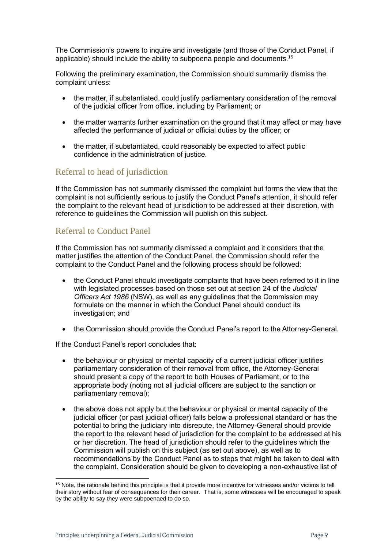The Commission's powers to inquire and investigate (and those of the Conduct Panel, if applicable) should include the ability to subpoena people and documents.<sup>15</sup>

Following the preliminary examination, the Commission should summarily dismiss the complaint unless:

- the matter, if substantiated, could justify parliamentary consideration of the removal of the [judicial officer](http://www6.austlii.edu.au/cgi-bin/viewdoc/au/legis/nsw/consol_act/joa1986155/s3.html#judicial_officer) from office, including by Parliament; or
- the matter warrants further examination on the ground that it may affect or may have affected the performance of judicial or official duties by the officer; or
- the matter, if substantiated, could reasonably be expected to affect public confidence in the administration of justice.

#### <span id="page-8-0"></span>Referral to head of jurisdiction

If the Commission has not summarily dismissed the complaint but forms the view that the complaint is not sufficiently serious to justify the Conduct Panel's attention, it should refer the complaint to the relevant head of jurisdiction to be addressed at their discretion, with reference to guidelines the Commission will publish on this subject.

#### <span id="page-8-1"></span>Referral to Conduct Panel

If the Commission has not summarily dismissed a complaint and it considers that the matter justifies the attention of the Conduct Panel, the Commission should refer the complaint to the Conduct Panel and the following process should be followed:

- the Conduct Panel should investigate complaints that have been referred to it in line with legislated processes based on those set out at section 24 of the *Judicial Officers Act 1986* (NSW), as well as any guidelines that the Commission may formulate on the manner in which the Conduct Panel should conduct its investigation; and
- the Commission should provide the Conduct Panel's report to the Attorney-General.

If the Conduct Panel's report concludes that:

- the behaviour or physical or mental capacity of a current judicial officer justifies parliamentary consideration of their removal from office, the Attorney-General should present a copy of the report to both Houses of Parliament, or to the appropriate body (noting not all judicial officers are subject to the sanction or parliamentary removal);
- the above does not apply but the behaviour or physical or mental capacity of the judicial officer (or past judicial officer) falls below a professional standard or has the potential to bring the judiciary into disrepute, the Attorney-General should provide the report to the relevant head of jurisdiction for the complaint to be addressed at his or her discretion. The head of jurisdiction should refer to the guidelines which the Commission will publish on this subject (as set out above), as well as to recommendations by the Conduct Panel as to steps that might be taken to deal with the complaint. Consideration should be given to developing a non-exhaustive list of

<sup>&</sup>lt;sup>15</sup> Note, the rationale behind this principle is that it provide more incentive for witnesses and/or victims to tell their story without fear of consequences for their career. That is, some witnesses will be encouraged to speak by the ability to say they were subpoenaed to do so.